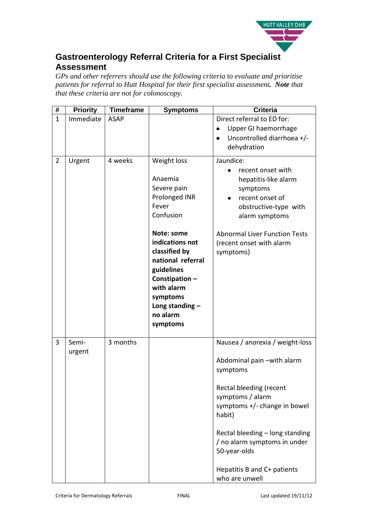

## **Gastroenterology Referral Criteria for a First Specialist Assessment**

*GPs and other referrers should use the following criteria to evaluate and prioritise patients for referral to Hutt Hospital for their first specialist assessment. Note that that these criteria are not for colonoscopy.* 

| #              | <b>Priority</b> | <b>Timeframe</b> | <b>Symptoms</b>                                                                                                                | <b>Criteria</b>                                                                                                                                                                                                                |
|----------------|-----------------|------------------|--------------------------------------------------------------------------------------------------------------------------------|--------------------------------------------------------------------------------------------------------------------------------------------------------------------------------------------------------------------------------|
| $\mathbf{1}$   | Immediate       | <b>ASAP</b>      |                                                                                                                                | Direct referral to ED for:<br>Upper GI haemorrhage<br>٠<br>Uncontrolled diarrhoea +/-<br>dehydration                                                                                                                           |
| $\overline{2}$ | Urgent          | 4 weeks          | Weight loss<br>Anaemia<br>Severe pain<br>Prolonged INR<br>Fever<br>Confusion<br>Note: some<br>indications not<br>classified by | Jaundice:<br>recent onset with<br>$\bullet$<br>hepatitis-like alarm<br>symptoms<br>recent onset of<br>obstructive-type with<br>alarm symptoms<br><b>Abnormal Liver Function Tests</b><br>(recent onset with alarm<br>symptoms) |
|                |                 |                  | national referral<br>guidelines<br>Constipation-<br>with alarm<br>symptoms<br>Long standing $-$<br>no alarm<br>symptoms        |                                                                                                                                                                                                                                |
| 3              | Semi-<br>urgent | 3 months         |                                                                                                                                | Nausea / anorexia / weight-loss<br>Abdominal pain -with alarm<br>symptoms<br>Rectal bleeding (recent<br>symptoms / alarm<br>symptoms +/- change in bowel<br>habit)<br>Rectal bleeding - long standing                          |
|                |                 |                  |                                                                                                                                | / no alarm symptoms in under<br>50-year-olds<br>Hepatitis B and C+ patients<br>who are unwell                                                                                                                                  |